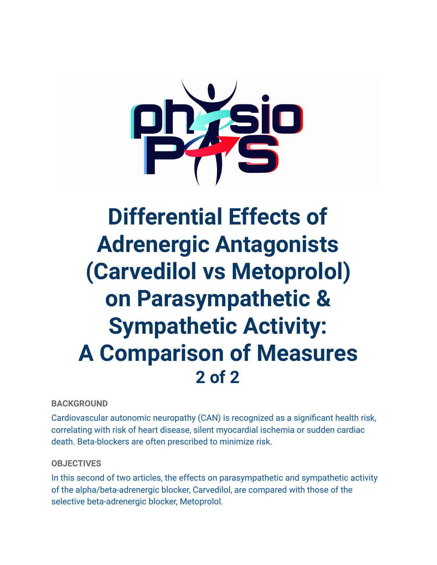

# **Differential Effects of Adrenergic Antagonists (Carvedilol vs Metoprolol) on Parasympathetic & Sympathetic Activity: A Comparison of Measures 2 of 2**

## **BACKGROUND**

Cardiovascular autonomic neuropathy (CAN) is recognized as a significant health risk, correlating with risk of heart disease, silent myocardial ischemia or sudden cardiac death. Beta-blockers are often prescribed to minimize risk.

### **OBJECTIVES**

In this second of two articles, the effects on parasympathetic and sympathetic activity of the alpha/beta-adrenergic blocker, Carvedilol, are compared with those of the selective beta-adrenergic blocker, Metoprolol.